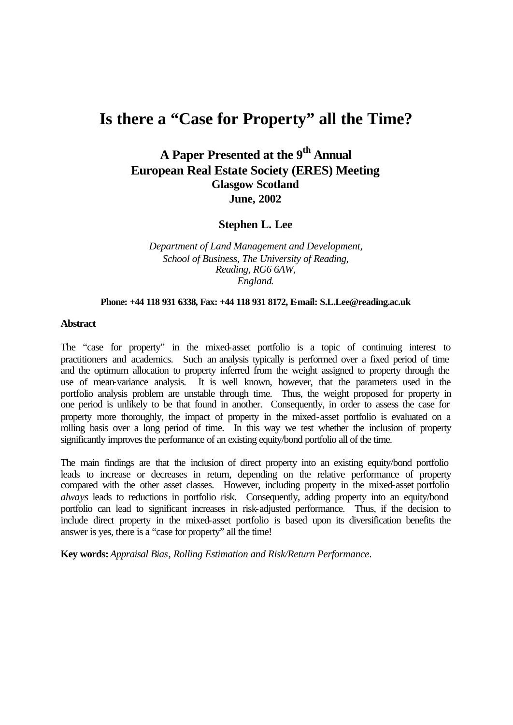# **Is there a "Case for Property" all the Time?**

## **A Paper Presented at the 9th Annual European Real Estate Society (ERES) Meeting Glasgow Scotland June, 2002**

**Stephen L. Lee**

*Department of Land Management and Development, School of Business, The University of Reading, Reading, RG6 6AW, England*.

#### **Phone: +44 118 931 6338, Fax: +44 118 931 8172, E-mail: S.L.Lee@reading.ac.uk**

#### **Abstract**

The "case for property" in the mixed-asset portfolio is a topic of continuing interest to practitioners and academics. Such an analysis typically is performed over a fixed period of time and the optimum allocation to property inferred from the weight assigned to property through the use of mean-variance analysis. It is well known, however, that the parameters used in the portfolio analysis problem are unstable through time. Thus, the weight proposed for property in one period is unlikely to be that found in another. Consequently, in order to assess the case for property more thoroughly, the impact of property in the mixed-asset portfolio is evaluated on a rolling basis over a long period of time. In this way we test whether the inclusion of property significantly improves the performance of an existing equity/bond portfolio all of the time.

The main findings are that the inclusion of direct property into an existing equity/bond portfolio leads to increase or decreases in return, depending on the relative performance of property compared with the other asset classes. However, including property in the mixed-asset portfolio *always* leads to reductions in portfolio risk. Consequently, adding property into an equity/bond portfolio can lead to significant increases in risk-adjusted performance. Thus, if the decision to include direct property in the mixed-asset portfolio is based upon its diversification benefits the answer is yes, there is a "case for property" all the time!

**Key words:** *Appraisal Bias, Rolling Estimation and Risk/Return Performance*.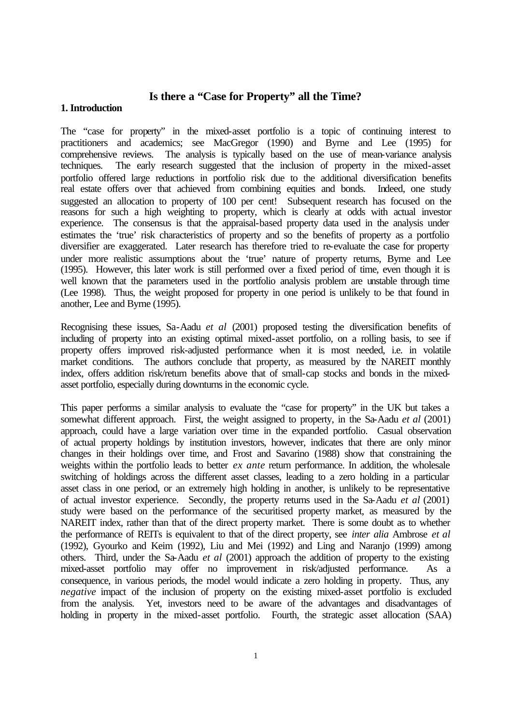### **Is there a "Case for Property" all the Time?**

#### **1. Introduction**

The "case for property" in the mixed-asset portfolio is a topic of continuing interest to practitioners and academics; see MacGregor (1990) and Byrne and Lee (1995) for comprehensive reviews. The analysis is typically based on the use of mean-variance analysis techniques. The early research suggested that the inclusion of property in the mixed-asset portfolio offered large reductions in portfolio risk due to the additional diversification benefits real estate offers over that achieved from combining equities and bonds. Indeed, one study suggested an allocation to property of 100 per cent! Subsequent research has focused on the reasons for such a high weighting to property, which is clearly at odds with actual investor experience. The consensus is that the appraisal-based property data used in the analysis under estimates the 'true' risk characteristics of property and so the benefits of property as a portfolio diversifier are exaggerated. Later research has therefore tried to re-evaluate the case for property under more realistic assumptions about the 'true' nature of property returns, Byrne and Lee (1995). However, this later work is still performed over a fixed period of time, even though it is well known that the parameters used in the portfolio analysis problem are unstable through time (Lee 1998). Thus, the weight proposed for property in one period is unlikely to be that found in another, Lee and Byrne (1995).

Recognising these issues, Sa-Aadu *et al* (2001) proposed testing the diversification benefits of including of property into an existing optimal mixed-asset portfolio, on a rolling basis, to see if property offers improved risk-adjusted performance when it is most needed, i.e. in volatile market conditions. The authors conclude that property, as measured by the NAREIT monthly index, offers addition risk/return benefits above that of small-cap stocks and bonds in the mixedasset portfolio, especially during downturns in the economic cycle.

This paper performs a similar analysis to evaluate the "case for property" in the UK but takes a somewhat different approach. First, the weight assigned to property, in the Sa-Aadu *et al* (2001) approach, could have a large variation over time in the expanded portfolio. Casual observation of actual property holdings by institution investors, however, indicates that there are only minor changes in their holdings over time, and Frost and Savarino (1988) show that constraining the weights within the portfolio leads to better *ex ante* return performance. In addition, the wholesale switching of holdings across the different asset classes, leading to a zero holding in a particular asset class in one period, or an extremely high holding in another, is unlikely to be representative of actual investor experience. Secondly, the property returns used in the Sa-Aadu *et al* (2001) study were based on the performance of the securitised property market, as measured by the NAREIT index, rather than that of the direct property market. There is some doubt as to whether the performance of REITs is equivalent to that of the direct property, see *inter alia* Ambrose *et al* (1992), Gyourko and Keim (1992), Liu and Mei (1992) and Ling and Naranjo (1999) among others. Third, under the Sa-Aadu *et al* (2001) approach the addition of property to the existing mixed-asset portfolio may offer no improvement in risk/adjusted performance. As a consequence, in various periods, the model would indicate a zero holding in property. Thus, any *negative* impact of the inclusion of property on the existing mixed-asset portfolio is excluded from the analysis. Yet, investors need to be aware of the advantages and disadvantages of holding in property in the mixed-asset portfolio. Fourth, the strategic asset allocation (SAA)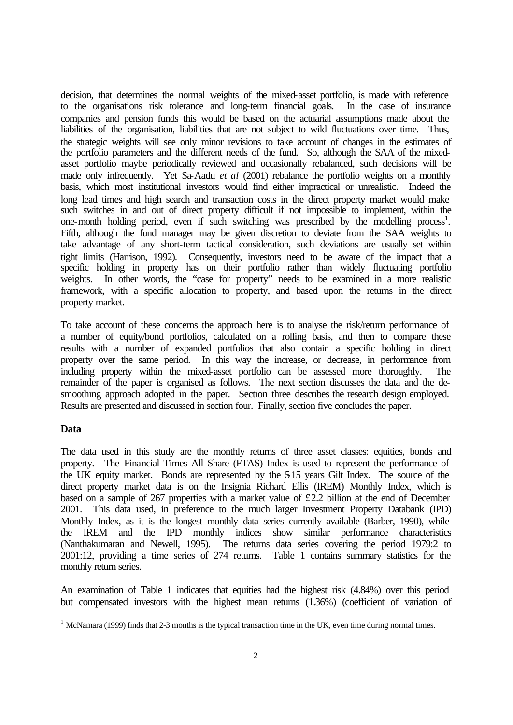decision, that determines the normal weights of the mixed-asset portfolio, is made with reference to the organisations risk tolerance and long-term financial goals. In the case of insurance companies and pension funds this would be based on the actuarial assumptions made about the liabilities of the organisation, liabilities that are not subject to wild fluctuations over time. Thus, the strategic weights will see only minor revisions to take account of changes in the estimates of the portfolio parameters and the different needs of the fund. So, although the SAA of the mixedasset portfolio maybe periodically reviewed and occasionally rebalanced, such decisions will be made only infrequently. Yet Sa-Aadu *et al* (2001) rebalance the portfolio weights on a monthly basis, which most institutional investors would find either impractical or unrealistic. Indeed the long lead times and high search and transaction costs in the direct property market would make such switches in and out of direct property difficult if not impossible to implement, within the one-month holding period, even if such switching was prescribed by the modelling process<sup>1</sup>. Fifth, although the fund manager may be given discretion to deviate from the SAA weights to take advantage of any short-term tactical consideration, such deviations are usually set within tight limits (Harrison, 1992). Consequently, investors need to be aware of the impact that a specific holding in property has on their portfolio rather than widely fluctuating portfolio weights. In other words, the "case for property" needs to be examined in a more realistic framework, with a specific allocation to property, and based upon the returns in the direct property market.

To take account of these concerns the approach here is to analyse the risk/return performance of a number of equity/bond portfolios, calculated on a rolling basis, and then to compare these results with a number of expanded portfolios that also contain a specific holding in direct property over the same period. In this way the increase, or decrease, in performance from including property within the mixed-asset portfolio can be assessed more thoroughly. The remainder of the paper is organised as follows. The next section discusses the data and the desmoothing approach adopted in the paper. Section three describes the research design employed. Results are presented and discussed in section four. Finally, section five concludes the paper.

#### **Data**

l

The data used in this study are the monthly returns of three asset classes: equities, bonds and property. The Financial Times All Share (FTAS) Index is used to represent the performance of the UK equity market. Bonds are represented by the 5-15 years Gilt Index. The source of the direct property market data is on the Insignia Richard Ellis (IREM) Monthly Index, which is based on a sample of 267 properties with a market value of £2.2 billion at the end of December 2001. This data used, in preference to the much larger Investment Property Databank (IPD) Monthly Index, as it is the longest monthly data series currently available (Barber, 1990), while the IREM and the IPD monthly indices show similar performance characteristics (Nanthakumaran and Newell, 1995). The returns data series covering the period 1979:2 to 2001:12, providing a time series of 274 returns. Table 1 contains summary statistics for the monthly return series.

An examination of Table 1 indicates that equities had the highest risk (4.84%) over this period but compensated investors with the highest mean returns (1.36%) (coefficient of variation of

 $1$  McNamara (1999) finds that 2-3 months is the typical transaction time in the UK, even time during normal times.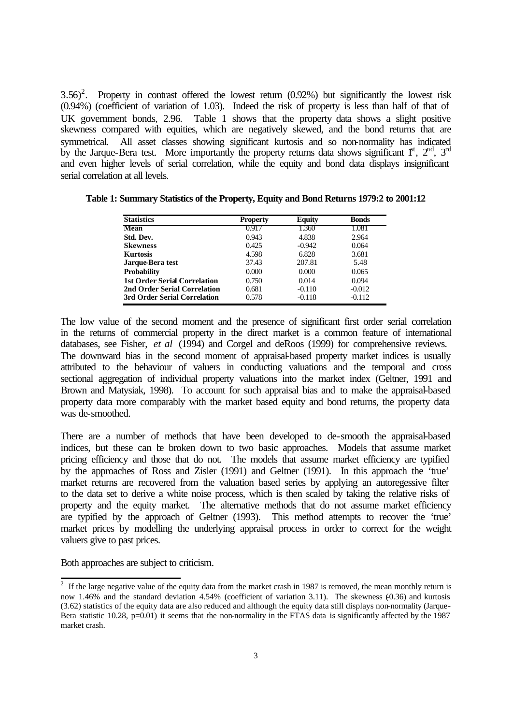$3.56$ <sup>2</sup>. Property in contrast offered the lowest return (0.92%) but significantly the lowest risk (0.94%) (coefficient of variation of 1.03). Indeed the risk of property is less than half of that of UK government bonds, 2.96. Table 1 shows that the property data shows a slight positive skewness compared with equities, which are negatively skewed, and the bond returns that are symmetrical. All asset classes showing significant kurtosis and so non-normality has indicated by the Jarque-Bera test. More importantly the property returns data shows significant  $f^t$ ,  $2^{nd}$ ,  $3^{rd}$ and even higher levels of serial correlation, while the equity and bond data displays insignificant serial correlation at all levels.

| <b>Statistics</b>                   | <b>Property</b> | <b>Equity</b> | <b>Bonds</b> |
|-------------------------------------|-----------------|---------------|--------------|
| <b>Mean</b>                         | 0.917           | 1.360         | 1.081        |
| Std. Dev.                           | 0.943           | 4.838         | 2.964        |
| <b>Skewness</b>                     | 0.425           | $-0.942$      | 0.064        |
| <b>Kurtosis</b>                     | 4.598           | 6.828         | 3.681        |
| Jarque-Bera test                    | 37.43           | 207.81        | 5.48         |
| <b>Probability</b>                  | 0.000           | 0.000         | 0.065        |
| <b>1st Order Serial Correlation</b> | 0.750           | 0.014         | 0.094        |
| 2nd Order Serial Correlation        | 0.681           | $-0.110$      | $-0.012$     |
| 3rd Order Serial Correlation        | 0.578           | $-0.118$      | $-0.112$     |

**Table 1: Summary Statistics of the Property, Equity and Bond Returns 1979:2 to 2001:12**

The low value of the second moment and the presence of significant first order serial correlation in the returns of commercial property in the direct market is a common feature of international databases, see Fisher, *et al* (1994) and Corgel and deRoos (1999) for comprehensive reviews. The downward bias in the second moment of appraisal-based property market indices is usually attributed to the behaviour of valuers in conducting valuations and the temporal and cross sectional aggregation of individual property valuations into the market index (Geltner, 1991 and Brown and Matysiak, 1998). To account for such appraisal bias and to make the appraisal-based property data more comparably with the market based equity and bond returns, the property data was de-smoothed.

There are a number of methods that have been developed to de-smooth the appraisal-based indices, but these can be broken down to two basic approaches. Models that assume market pricing efficiency and those that do not. The models that assume market efficiency are typified by the approaches of Ross and Zisler (1991) and Geltner (1991). In this approach the 'true' market returns are recovered from the valuation based series by applying an autoregessive filter to the data set to derive a white noise process, which is then scaled by taking the relative risks of property and the equity market. The alternative methods that do not assume market efficiency are typified by the approach of Geltner (1993). This method attempts to recover the 'true' market prices by modelling the underlying appraisal process in order to correct for the weight valuers give to past prices.

Both approaches are subject to criticism.

<sup>&</sup>lt;sup>2</sup> If the large negative value of the equity data from the market crash in 1987 is removed, the mean monthly return is now 1.46% and the standard deviation 4.54% (coefficient of variation 3.11). The skewness  $(0.36)$  and kurtosis (3.62) statistics of the equity data are also reduced and although the equity data still displays non-normality (Jarque-Bera statistic 10.28,  $p=0.01$ ) it seems that the non-normality in the FTAS data is significantly affected by the 1987 market crash.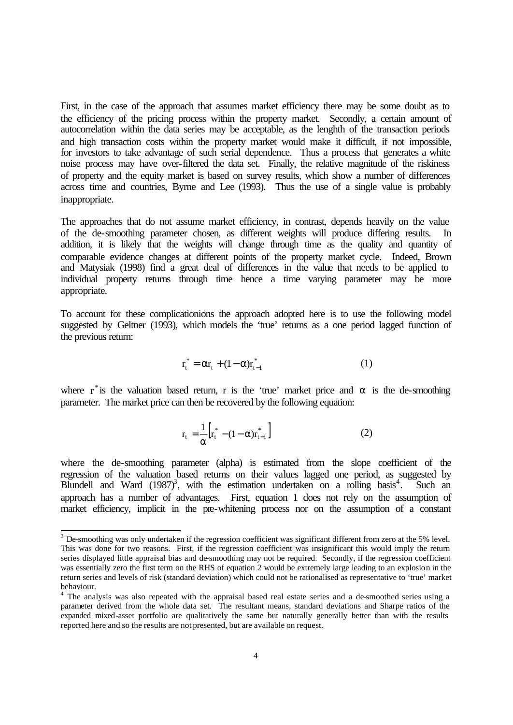First, in the case of the approach that assumes market efficiency there may be some doubt as to the efficiency of the pricing process within the property market. Secondly, a certain amount of autocorrelation within the data series may be acceptable, as the lenghth of the transaction periods and high transaction costs within the property market would make it difficult, if not impossible, for investors to take advantage of such serial dependence. Thus a process that generates a white noise process may have over-filtered the data set. Finally, the relative magnitude of the riskiness of property and the equity market is based on survey results, which show a number of differences across time and countries, Byrne and Lee (1993). Thus the use of a single value is probably inappropriate.

The approaches that do not assume market efficiency, in contrast, depends heavily on the value of the de-smoothing parameter chosen, as different weights will produce differing results. In addition, it is likely that the weights will change through time as the quality and quantity of comparable evidence changes at different points of the property market cycle. Indeed, Brown and Matysiak (1998) find a great deal of differences in the value that needs to be applied to individual property returns through time hence a time varying parameter may be more appropriate.

To account for these complicationions the approach adopted here is to use the following model suggested by Geltner (1993), which models the 'true' returns as a one period lagged function of the previous return:

$$
r_t^* = \alpha r_t + (1 - \alpha) r_{t-1}^* \tag{1}
$$

where  $r^*$  is the valuation based return, r is the 'true' market price and  $\alpha$  is the de-smoothing parameter. The market price can then be recovered by the following equation:

$$
r_{t} = \frac{1}{\alpha} \Big[ r_{t}^{*} - (1 - \alpha) r_{t-1}^{*} \Big]
$$
 (2)

where the de-smoothing parameter (alpha) is estimated from the slope coefficient of the regression of the valuation based returns on their values lagged one period, as suggested by Blundell and Ward  $(1987)^3$ , with the estimation undertaken on a rolling basis<sup>4</sup> . Such an approach has a number of advantages. First, equation 1 does not rely on the assumption of market efficiency, implicit in the pre-whitening process nor on the assumption of a constant

l

 $3$  De-smoothing was only undertaken if the regression coefficient was significant different from zero at the 5% level. This was done for two reasons. First, if the regression coefficient was insignificant this would imply the return series displayed little appraisal bias and de-smoothing may not be required. Secondly, if the regression coefficient was essentially zero the first term on the RHS of equation 2 would be extremely large leading to an explosion in the return series and levels of risk (standard deviation) which could not be rationalised as representative to 'true' market behaviour.

<sup>&</sup>lt;sup>4</sup> The analysis was also repeated with the appraisal based real estate series and a de-smoothed series using a parameter derived from the whole data set. The resultant means, standard deviations and Sharpe ratios of the expanded mixed-asset portfolio are qualitatively the same but naturally generally better than with the results reported here and so the results are not presented, but are available on request.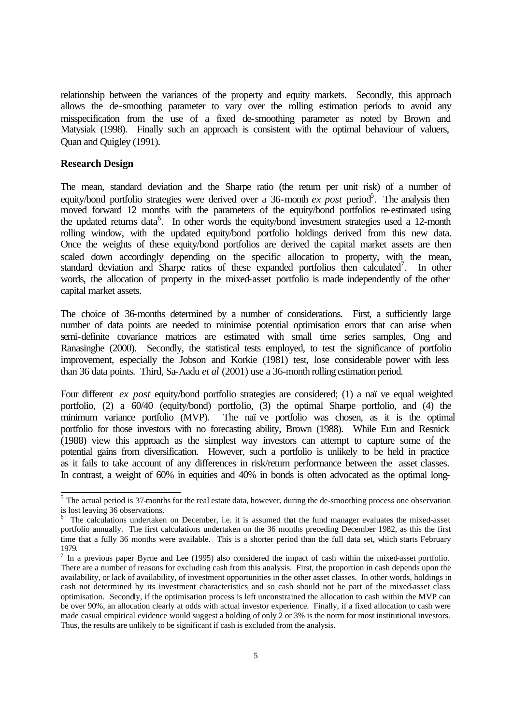relationship between the variances of the property and equity markets. Secondly, this approach allows the de-smoothing parameter to vary over the rolling estimation periods to avoid any misspecification from the use of a fixed de-smoothing parameter as noted by Brown and Matysiak (1998). Finally such an approach is consistent with the optimal behaviour of valuers, Quan and Quigley (1991).

#### **Research Design**

The mean, standard deviation and the Sharpe ratio (the return per unit risk) of a number of equity/bond portfolio strategies were derived over a 36-month  $ex$  post period<sup>5</sup>. The analysis then moved forward 12 months with the parameters of the equity/bond portfolios re-estimated using the updated returns data<sup>6</sup>. In other words the equity/bond investment strategies used a 12-month rolling window, with the updated equity/bond portfolio holdings derived from this new data. Once the weights of these equity/bond portfolios are derived the capital market assets are then scaled down accordingly depending on the specific allocation to property, with the mean, standard deviation and Sharpe ratios of these expanded portfolios then calculated<sup>7</sup>. In other words, the allocation of property in the mixed-asset portfolio is made independently of the other capital market assets.

The choice of 36-months determined by a number of considerations. First, a sufficiently large number of data points are needed to minimise potential optimisation errors that can arise when semi-definite covariance matrices are estimated with small time series samples, Ong and Ranasinghe (2000). Secondly, the statistical tests employed, to test the significance of portfolio improvement, especially the Jobson and Korkie (1981) test, lose considerable power with less than 36 data points. Third, Sa-Aadu *et al* (2001) use a 36-month rolling estimation period.

Four different *ex post* equity/bond portfolio strategies are considered; (1) a naï ve equal weighted portfolio, (2) a 60/40 (equity/bond) portfolio, (3) the optimal Sharpe portfolio, and (4) the minimum variance portfolio (MVP). The naïve portfolio was chosen, as it is the optimal portfolio for those investors with no forecasting ability, Brown (1988). While Eun and Resnick (1988) view this approach as the simplest way investors can attempt to capture some of the potential gains from diversification. However, such a portfolio is unlikely to be held in practice as it fails to take account of any differences in risk/return performance between the asset classes. In contrast, a weight of 60% in equities and 40% in bonds is often advocated as the optimal long-

<sup>&</sup>lt;sup>5</sup> The actual period is 37-months for the real estate data, however, during the de-smoothing process one observation is lost leaving 36 observations. 6 The calculations undertaken on December, i.e. it is assumed that the fund manager evaluates the mixed-asset

portfolio annually. The first calculations undertaken on the 36 months preceding December 1982, as this the first time that a fully 36 months were available. This is a shorter period than the full data set, which starts February 1979.

 $<sup>7</sup>$  In a previous paper Byrne and Lee (1995) also considered the impact of cash within the mixed-asset portfolio.</sup> There are a number of reasons for excluding cash from this analysis. First, the proportion in cash depends upon the availability, or lack of availability, of investment opportunities in the other asset classes. In other words, holdings in cash not determined by its investment characteristics and so cash should not be part of the mixed-asset class optimisation. Secondly, if the optimisation process is left unconstrained the allocation to cash within the MVP can be over 90%, an allocation clearly at odds with actual investor experience. Finally, if a fixed allocation to cash were made casual empirical evidence would suggest a holding of only 2 or 3% is the norm for most institutional investors. Thus, the results are unlikely to be significant if cash is excluded from the analysis.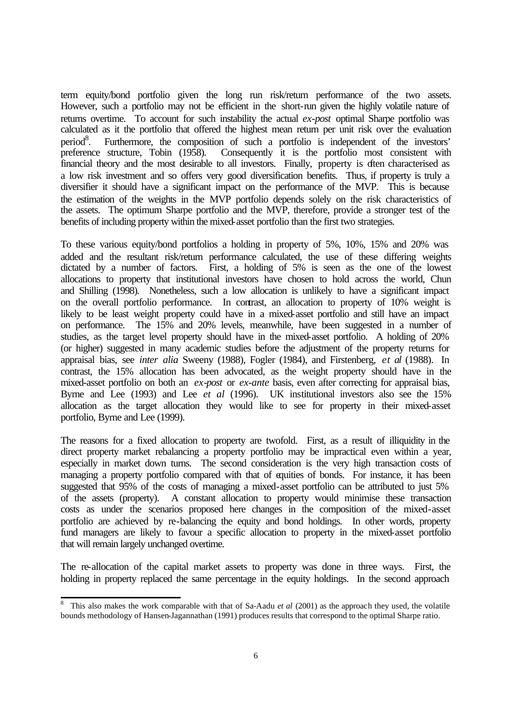term equity/bond portfolio given the long run risk/return performance of the two assets. However, such a portfolio may not be efficient in the short-run given the highly volatile nature of returns overtime. To account for such instability the actual *ex-post* optimal Sharpe portfolio was calculated as it the portfolio that offered the highest mean return per unit risk over the evaluation  $period<sup>8</sup>$ . . Furthermore, the composition of such a portfolio is independent of the investors' preference structure, Tobin (1958). Consequently it is the portfolio most consistent with financial theory and the most desirable to all investors. Finally, property is often characterised as a low risk investment and so offers very good diversification benefits. Thus, if property is truly a diversifier it should have a significant impact on the performance of the MVP. This is because the estimation of the weights in the MVP portfolio depends solely on the risk characteristics of the assets. The optimum Sharpe portfolio and the MVP, therefore, provide a stronger test of the benefits of including property within the mixed-asset portfolio than the first two strategies.

To these various equity/bond portfolios a holding in property of 5%, 10%, 15% and 20% was added and the resultant risk/return performance calculated, the use of these differing weights dictated by a number of factors. First, a holding of 5% is seen as the one of the lowest allocations to property that institutional investors have chosen to hold across the world, Chun and Shilling (1998). Nonetheless, such a low allocation is unlikely to have a significant impact on the overall portfolio performance. In contrast, an allocation to property of 10% weight is likely to be least weight property could have in a mixed-asset portfolio and still have an impact on performance. The 15% and 20% levels, meanwhile, have been suggested in a number of studies, as the target level property should have in the mixed-asset portfolio. A holding of 20% (or higher) suggested in many academic studies before the adjustment of the property returns for appraisal bias, see *inter alia* Sweeny (1988), Fogler (1984), and Firstenberg, *et al* (1988). In contrast, the 15% allocation has been advocated, as the weight property should have in the mixed-asset portfolio on both an *ex-post* or *ex-ante* basis, even after correcting for appraisal bias, Byrne and Lee (1993) and Lee *et al* (1996). UK institutional investors also see the 15% allocation as the target allocation they would like to see for property in their mixed-asset portfolio, Byrne and Lee (1999).

The reasons for a fixed allocation to property are twofold. First, as a result of illiquidity in the direct property market rebalancing a property portfolio may be impractical even within a year, especially in market down turns. The second consideration is the very high transaction costs of managing a property portfolio compared with that of equities of bonds. For instance, it has been suggested that 95% of the costs of managing a mixed-asset portfolio can be attributed to just 5% of the assets (property). A constant allocation to property would minimise these transaction costs as under the scenarios proposed here changes in the composition of the mixed-asset portfolio are achieved by re-balancing the equity and bond holdings. In other words, property fund managers are likely to favour a specific allocation to property in the mixed-asset portfolio that will remain largely unchanged overtime.

The re-allocation of the capital market assets to property was done in three ways. First, the holding in property replaced the same percentage in the equity holdings. In the second approach

<sup>&</sup>lt;sup>8</sup> This also makes the work comparable with that of Sa-Aadu *et al* (2001) as the approach they used, the volatile bounds methodology of Hansen-Jagannathan (1991) produces results that correspond to the optimal Sharpe ratio.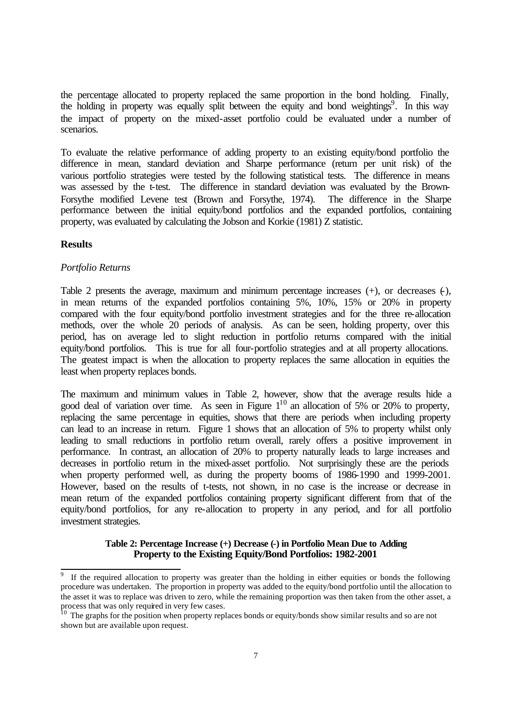the percentage allocated to property replaced the same proportion in the bond holding. Finally, the holding in property was equally split between the equity and bond weightings<sup>9</sup>. In this way the impact of property on the mixed-asset portfolio could be evaluated under a number of scenarios.

To evaluate the relative performance of adding property to an existing equity/bond portfolio the difference in mean, standard deviation and Sharpe performance (return per unit risk) of the various portfolio strategies were tested by the following statistical tests. The difference in means was assessed by the t-test. The difference in standard deviation was evaluated by the Brown-Forsythe modified Levene test (Brown and Forsythe, 1974). The difference in the Sharpe performance between the initial equity/bond portfolios and the expanded portfolios, containing property, was evaluated by calculating the Jobson and Korkie (1981) Z statistic.

#### **Results**

l

#### *Portfolio Returns*

Table 2 presents the average, maximum and minimum percentage increases  $(+)$ , or decreases  $(+)$ , in mean returns of the expanded portfolios containing 5%, 10%, 15% or 20% in property compared with the four equity/bond portfolio investment strategies and for the three re-allocation methods, over the whole 20 periods of analysis. As can be seen, holding property, over this period, has on average led to slight reduction in portfolio returns compared with the initial equity/bond portfolios. This is true for all four-portfolio strategies and at all property allocations. The greatest impact is when the allocation to property replaces the same allocation in equities the least when property replaces bonds.

The maximum and minimum values in Table 2, however, show that the average results hide a good deal of variation over time. As seen in Figure  $1^{10}$  an allocation of 5% or 20% to property, replacing the same percentage in equities, shows that there are periods when including property can lead to an increase in return. Figure 1 shows that an allocation of 5% to property whilst only leading to small reductions in portfolio return overall, rarely offers a positive improvement in performance. In contrast, an allocation of 20% to property naturally leads to large increases and decreases in portfolio return in the mixed-asset portfolio. Not surprisingly these are the periods when property performed well, as during the property booms of 1986-1990 and 1999-2001. However, based on the results of t-tests, not shown, in no case is the increase or decrease in mean return of the expanded portfolios containing property significant different from that of the equity/bond portfolios, for any re-allocation to property in any period, and for all portfolio investment strategies.

#### **Table 2: Percentage Increase (+) Decrease (-) in Portfolio Mean Due to Adding Property to the Existing Equity/Bond Portfolios: 1982-2001**

<sup>9</sup> If the required allocation to property was greater than the holding in either equities or bonds the following procedure was undertaken. The proportion in property was added to the equity/bond portfolio until the allocation to the asset it was to replace was driven to zero, while the remaining proportion was then taken from the other asset, a process that was only required in very few cases.

<sup>&</sup>lt;sup>10</sup> The graphs for the position when property replaces bonds or equity/bonds show similar results and so are not shown but are available upon request.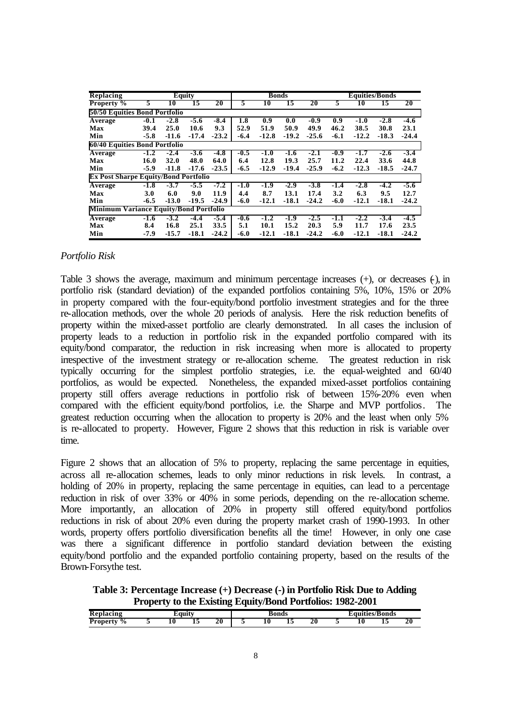| <b>Replacing</b>                              | Equity |         |         |         |        | <b>Bonds</b> |         |         | <b>Equities/Bonds</b> |         |         |         |  |
|-----------------------------------------------|--------|---------|---------|---------|--------|--------------|---------|---------|-----------------------|---------|---------|---------|--|
| <b>Property %</b>                             | 5.     | 10      | 15      | 20      | 5      | 10           | 15      | 20      | 5                     | 10      | 15      | 20      |  |
| 50/50 Equities Bond Portfolio                 |        |         |         |         |        |              |         |         |                       |         |         |         |  |
| Average                                       | $-0.1$ | $-2.8$  | $-5.6$  | $-8.4$  | 1.8    | 0.9          | 0.0     | $-0.9$  | 0.9                   | $-1.0$  | $-2.8$  | $-4.6$  |  |
| Max                                           | 39.4   | 25.0    | 10.6    | 9.3     | 52.9   | 51.9         | 50.9    | 49.9    | 46.2                  | 38.5    | 30.8    | 23.1    |  |
| Min                                           | $-5.8$ | $-11.6$ | $-17.4$ | $-23.2$ | $-6.4$ | $-12.8$      | $-19.2$ | $-25.6$ | $-6.1$                | $-12.2$ | $-18.3$ | $-24.4$ |  |
| 60/40 Equities Bond Portfolio                 |        |         |         |         |        |              |         |         |                       |         |         |         |  |
| <b>Average</b>                                | $-1.2$ | $-2.4$  | $-3.6$  | -4.8    | $-0.5$ | $-1.0$       | $-1.6$  | $-2.1$  | -0.9                  | $-1.7$  | $-2.6$  | $-3.4$  |  |
| Max                                           | 16.0   | 32.0    | 48.0    | 64.0    | 6.4    | 12.8         | 19.3    | 25.7    | 11.2                  | 22.4    | 33.6    | 44.8    |  |
| Min                                           | $-5.9$ | $-11.8$ | $-17.6$ | $-23.5$ | $-6.5$ | $-12.9$      | $-19.4$ | $-25.9$ | $-6.2$                | $-12.3$ | $-18.5$ | $-24.7$ |  |
| <b>Ex Post Sharpe Equity/Bond Portfolio</b>   |        |         |         |         |        |              |         |         |                       |         |         |         |  |
| Average                                       | $-1.8$ | $-3.7$  | $-5.5$  | $-7.2$  | -1.0   | $-1.9$       | $-2.9$  | $-3.8$  | $-1.4$                | $-2.8$  | $-4.2$  | $-5.6$  |  |
| Max                                           | 3.0    | 6.0     | 9.0     | 11.9    | 4.4    | 8.7          | 13.1    | 17.4    | 3.2                   | 6.3     | 9.5     | 12.7    |  |
| Min                                           | $-6.5$ | $-13.0$ | $-19.5$ | $-24.9$ | $-6.0$ | $-12.1$      | $-18.1$ | $-24.2$ | $-6.0$                | $-12.1$ | $-18.1$ | $-24.2$ |  |
| <b>Minimum Variance Equity/Bond Portfolio</b> |        |         |         |         |        |              |         |         |                       |         |         |         |  |
| Average                                       | $-1.6$ | $-3.2$  | $-4.4$  | $-5.4$  | -0.6   | $-1.2$       | $-1.9$  | $-2.5$  | $-1.1$                | $-2.2$  | $-3.4$  | $-4.5$  |  |
| Max                                           | 8.4    | 16.8    | 25.1    | 33.5    | 5.1    | 10.1         | 15.2    | 20.3    | 5.9                   | 11.7    | 17.6    | 23.5    |  |
| Min                                           | -7.9   | $-15.7$ | $-18.1$ | $-24.2$ | -6.0   | $-12.1$      | $-18.1$ | $-24.2$ | $-6.0$                | $-12.1$ | $-18.1$ | $-24.2$ |  |

#### *Portfolio Risk*

Table 3 shows the average, maximum and minimum percentage increases  $(+)$ , or decreases  $(+)$ , in portfolio risk (standard deviation) of the expanded portfolios containing 5%, 10%, 15% or 20% in property compared with the four-equity/bond portfolio investment strategies and for the three re-allocation methods, over the whole 20 periods of analysis. Here the risk reduction benefits of property within the mixed-asset portfolio are clearly demonstrated. In all cases the inclusion of property leads to a reduction in portfolio risk in the expanded portfolio compared with its equity/bond comparator, the reduction in risk increasing when more is allocated to property irrespective of the investment strategy or re-allocation scheme. The greatest reduction in risk typically occurring for the simplest portfolio strategies, i.e. the equal-weighted and 60/40 portfolios, as would be expected. Nonetheless, the expanded mixed-asset portfolios containing property still offers average reductions in portfolio risk of between 15%-20% even when compared with the efficient equity/bond portfolios, i.e. the Sharpe and MVP portfolios. The greatest reduction occurring when the allocation to property is 20% and the least when only 5% is re-allocated to property. However, Figure 2 shows that this reduction in risk is variable over time.

Figure 2 shows that an allocation of 5% to property, replacing the same percentage in equities, across all re-allocation schemes, leads to only minor reductions in risk levels. In contrast, a holding of 20% in property, replacing the same percentage in equities, can lead to a percentage reduction in risk of over 33% or 40% in some periods, depending on the re-allocation scheme. More importantly, an allocation of 20% in property still offered equity/bond portfolios reductions in risk of about 20% even during the property market crash of 1990-1993. In other words, property offers portfolio diversification benefits all the time! However, in only one case was there a significant difference in portfolio standard deviation between the existing equity/bond portfolio and the expanded portfolio containing property, based on the results of the Brown-Forsythe test.

**Table 3: Percentage Increase (+) Decrease (-) in Portfolio Risk Due to Adding Property to the Existing Equity/Bond Portfolios: 1982-2001**

|                                  |           |   | -  |                      |    |    |                |    |         |           |
|----------------------------------|-----------|---|----|----------------------|----|----|----------------|----|---------|-----------|
| Rep<br>acınc                     | $-200000$ |   |    | $\kappa$ on $\kappa$ |    |    | auities/Bonds: |    |         |           |
| $\frac{6}{6}$<br><b>Property</b> | πv<br>-   | ∸ | 20 | 10                   | ⊥୰ | 20 |                | 10 | <br>___ | <b>20</b> |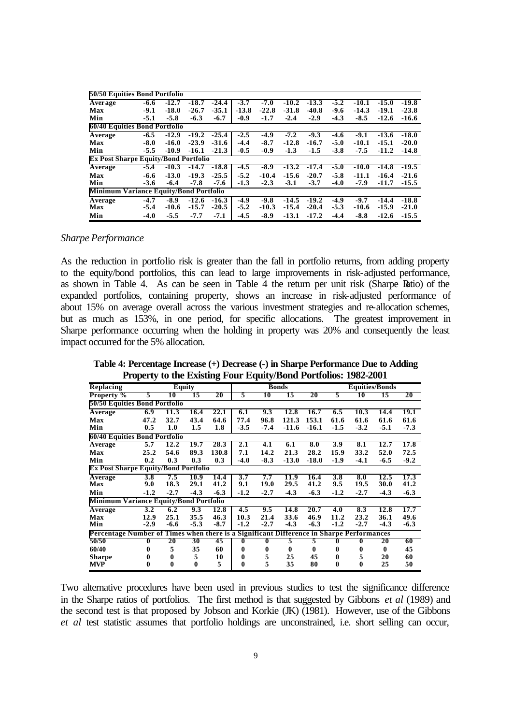| 50/50 Equities Bond Portfolio                 |        |         |         |         |         |         |         |         |        |         |         |         |
|-----------------------------------------------|--------|---------|---------|---------|---------|---------|---------|---------|--------|---------|---------|---------|
| Average                                       | $-6.6$ | $-12.7$ | -18.7   | $-24.4$ | $-3.7$  | $-7.0$  | $-10.2$ | $-13.3$ | $-5.2$ | $-10.1$ | $-15.0$ | -19.8   |
| Max                                           | $-9.1$ | $-18.0$ | $-26.7$ | $-35.1$ | $-13.8$ | $-22.8$ | $-31.8$ | $-40.8$ | $-9.6$ | $-14.3$ | $-19.1$ | $-23.8$ |
| Min                                           | $-5.1$ | $-5.8$  | $-6.3$  | $-6.7$  | $-0.9$  | $-1.7$  | $-2.4$  | $-2.9$  | $-4.3$ | $-8.5$  | $-12.6$ | $-16.6$ |
| 60/40 Equities Bond Portfolio                 |        |         |         |         |         |         |         |         |        |         |         |         |
| Average                                       | -6.5   | $-12.9$ | $-19.2$ | $-25.4$ | $-2.5$  | -4.9    | $-7.2$  | $-9.3$  | -4.6   | -9.1    | $-13.6$ | $-18.0$ |
| Max                                           | $-8.0$ | $-16.0$ | $-23.9$ | $-31.6$ | $-4.4$  | $-8.7$  | $-12.8$ | $-16.7$ | $-5.0$ | $-10.1$ | $-15.1$ | $-20.0$ |
| Min                                           | $-5.5$ | $-10.9$ | $-16.1$ | $-21.3$ | $-0.5$  | $-0.9$  | $-1.3$  | $-1.5$  | $-3.8$ | $-7.5$  | $-11.2$ | $-14.8$ |
| <b>Ex Post Sharpe Equity/Bond Portfolio</b>   |        |         |         |         |         |         |         |         |        |         |         |         |
| <b>Average</b>                                | -5.4   | $-10.3$ | $-14.7$ | $-18.8$ | -4.5    | $-8.9$  | $-13.2$ | $-17.4$ | $-5.0$ | $-10.0$ | $-14.8$ | $-19.5$ |
| <b>Max</b>                                    | $-6.6$ | $-13.0$ | $-19.3$ | $-25.5$ | $-5.2$  | $-10.4$ | $-15.6$ | $-20.7$ | $-5.8$ | $-11.1$ | $-16.4$ | $-21.6$ |
| Min                                           | $-3.6$ | $-6.4$  | $-7.8$  | $-7.6$  | $-1.3$  | $-2.3$  | $-3.1$  | $-3.7$  | $-4.0$ | $-7.9$  | $-11.7$ | $-15.5$ |
| <b>Minimum Variance Equity/Bond Portfolio</b> |        |         |         |         |         |         |         |         |        |         |         |         |
| Average                                       | $-4.7$ | $-8.9$  | $-12.6$ | $-16.3$ | $-4.9$  | $-9.8$  | $-14.5$ | $-19.2$ | -4.9   | $-9.7$  | $-14.4$ | $-18.8$ |
| Max                                           | $-5.4$ | $-10.6$ | $-15.7$ | $-20.5$ | $-5.2$  | $-10.3$ | $-15.4$ | $-20.4$ | $-5.3$ | $-10.6$ | $-15.9$ | $-21.0$ |
| Min                                           | $-4.0$ | $-5.5$  | $-7.7$  | $-7.1$  | $-4.5$  | $-8.9$  | $-13.1$ | $-17.2$ | $-4.4$ | $-8.8$  | $-12.6$ | $-15.5$ |

#### *Sharpe Performance*

As the reduction in portfolio risk is greater than the fall in portfolio returns, from adding property to the equity/bond portfolios, this can lead to large improvements in risk-adjusted performance, as shown in Table 4. As can be seen in Table 4 the return per unit risk (Sharpe Ratio) of the expanded portfolios, containing property, shows an increase in risk-adjusted performance of about 15% on average overall across the various investment strategies and re-allocation schemes, but as much as 153%, in one period, for specific allocations. The greatest improvement in Sharpe performance occurring when the holding in property was 20% and consequently the least impact occurred for the 5% allocation.

**Table 4: Percentage Increase (+) Decrease (-) in Sharpe Performance Due to Adding Property to the Existing Four Equity/Bond Portfolios: 1982-2001**

|                                                                                          | Troperty to the Existing Four Equity/Dong Fortrollos, 1702-2001 |               |          |        |              |        |              |          |                       |        |              |        |  |
|------------------------------------------------------------------------------------------|-----------------------------------------------------------------|---------------|----------|--------|--------------|--------|--------------|----------|-----------------------|--------|--------------|--------|--|
| <b>Replacing</b>                                                                         |                                                                 | <b>Equity</b> |          |        |              |        | <b>Bonds</b> |          | <b>Equities/Bonds</b> |        |              |        |  |
| <b>Property</b> %                                                                        | 5                                                               | 10            | 15       | 20     | 5            | 10     | 15           | 20       | 5                     | 10     | 15           | 20     |  |
| 50/50 Equities Bond Portfolio                                                            |                                                                 |               |          |        |              |        |              |          |                       |        |              |        |  |
| Average                                                                                  | 6.9                                                             | 11.3          | 16.4     | 22.1   | 6.1          | 9.3    | 12.8         | 16.7     | 6.5                   | 10.3   | 14.4         | 19.1   |  |
| Max                                                                                      | 47.2                                                            | 32.7          | 43.4     | 64.6   | 77.4         | 96.8   | 121.3        | 153.1    | 61.6                  | 61.6   | 61.6         | 61.6   |  |
| Min                                                                                      | 0.5                                                             | 1.0           | 1.5      | 1.8    | $-3.5$       | $-7.4$ | $-11.6$      | $-16.1$  | $-1.5$                | $-3.2$ | $-5.1$       | $-7.3$ |  |
| 60/40 Equities Bond Portfolio                                                            |                                                                 |               |          |        |              |        |              |          |                       |        |              |        |  |
| Average                                                                                  | 5.7                                                             | 12.2          | 19.7     | 28.3   | 2.1          | 4.1    | 6.1          | 8.0      | 3.9                   | 8.1    | 12.7         | 17.8   |  |
| <b>Max</b>                                                                               | 25.2                                                            | 54.6          | 89.3     | 130.8  | 7.1          | 14.2   | 21.3         | 28.2     | 15.9                  | 33.2   | 52.0         | 72.5   |  |
| Min                                                                                      | 0.2                                                             | 0.3           | 0.3      | 0.3    | -4.0         | $-8.3$ | $-13.0$      | $-18.0$  | $-1.9$                | $-4.1$ | $-6.5$       | $-9.2$ |  |
| <b>Ex Post Sharpe Equity/Bond Portfolio</b>                                              |                                                                 |               |          |        |              |        |              |          |                       |        |              |        |  |
| Average                                                                                  | 3.8                                                             | 7.5           | 10.9     | 14.4   | 3.7          | 7.7    | 11.9         | 16.4     | 3.8                   | 8.0    | 12.5         | 17.3   |  |
| Max                                                                                      | 9.0                                                             | 18.3          | 29.1     | 41.2   | 9.1          | 19.0   | 29.5         | 41.2     | 9.5                   | 19.5   | 30.0         | 41.2   |  |
| Min                                                                                      | $-1.2$                                                          | $-2.7$        | $-4.3$   | $-6.3$ | -1.2         | $-2.7$ | $-4.3$       | $-6.3$   | $-1.2$                | $-2.7$ | $-4.3$       | $-6.3$ |  |
| <b>Minimum Variance Equity/Bond Portfolio</b>                                            |                                                                 |               |          |        |              |        |              |          |                       |        |              |        |  |
| Average                                                                                  | 3.2                                                             | 6.2           | 9.3      | 12.8   | 4.5          | 9.5    | 14.8         | 20.7     | 4.0                   | 8.3    | 12.8         | 17.7   |  |
| Max                                                                                      | 12.9                                                            | 25.1          | 35.5     | 46.3   | 10.3         | 21.4   | 33.6         | 46.9     | 11.2                  | 23.2   | 36.1         | 49.6   |  |
| Min                                                                                      | $-2.9$                                                          | $-6.6$        | $-5.3$   | $-8.7$ | $-1.2$       | $-2.7$ | $-4.3$       | $-6.3$   | $-1.2$                | $-2.7$ | $-4.3$       | $-6.3$ |  |
| Percentage Number of Times when there is a Significant Difference in Sharpe Performances |                                                                 |               |          |        |              |        |              |          |                       |        |              |        |  |
| 50/50                                                                                    | 0                                                               | 20            | 30       | 45     | $\mathbf{0}$ | 0      | 5            | 5        |                       |        | 20           | 60     |  |
| 60/40                                                                                    | 0                                                               | 5             | 35       | 60     | 0            | 0      | 0            | $\bf{0}$ | 0                     | 0      | $\mathbf{0}$ | 45     |  |
| <b>Sharpe</b>                                                                            |                                                                 | 0             | 5        | 10     | 0            | 5      | 25           | 45       | 0                     | 5      | 20           | 60     |  |
| <b>MVP</b>                                                                               | 0                                                               | $\mathbf{0}$  | $\bf{0}$ | 5      | $\bf{0}$     | 5      | 35           | 80       | 0                     | 0      | 25           | 50     |  |

Two alternative procedures have been used in previous studies to test the significance difference in the Sharpe ratios of portfolios. The first method is that suggested by Gibbons *et al* (1989) and the second test is that proposed by Jobson and Korkie (JK) (1981). However, use of the Gibbons *et al* test statistic assumes that portfolio holdings are unconstrained, i.e. short selling can occur,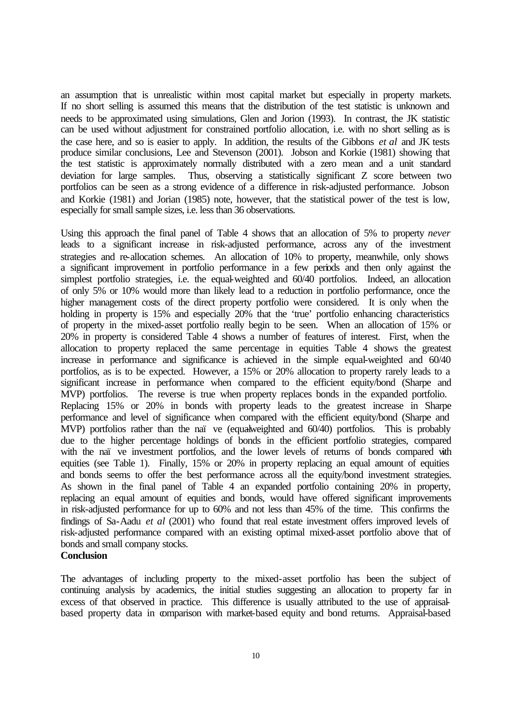an assumption that is unrealistic within most capital market but especially in property markets. If no short selling is assumed this means that the distribution of the test statistic is unknown and needs to be approximated using simulations, Glen and Jorion (1993). In contrast, the JK statistic can be used without adjustment for constrained portfolio allocation, i.e. with no short selling as is the case here, and so is easier to apply. In addition, the results of the Gibbons *et al* and JK tests produce similar conclusions, Lee and Stevenson (2001). Jobson and Korkie (1981) showing that the test statistic is approximately normally distributed with a zero mean and a unit standard deviation for large samples. Thus, observing a statistically significant Z score between two portfolios can be seen as a strong evidence of a difference in risk-adjusted performance. Jobson and Korkie (1981) and Jorian (1985) note, however, that the statistical power of the test is low, especially for small sample sizes, i.e. less than 36 observations.

Using this approach the final panel of Table 4 shows that an allocation of 5% to property *never* leads to a significant increase in risk-adjusted performance, across any of the investment strategies and re-allocation schemes. An allocation of 10% to property, meanwhile, only shows a significant improvement in portfolio performance in a few periods and then only against the simplest portfolio strategies, i.e. the equal-weighted and  $60/40$  portfolios. Indeed, an allocation of only 5% or 10% would more than likely lead to a reduction in portfolio performance, once the higher management costs of the direct property portfolio were considered. It is only when the holding in property is 15% and especially 20% that the 'true' portfolio enhancing characteristics of property in the mixed-asset portfolio really begin to be seen. When an allocation of 15% or 20% in property is considered Table 4 shows a number of features of interest. First, when the allocation to property replaced the same percentage in equities Table 4 shows the greatest increase in performance and significance is achieved in the simple equal-weighted and 60/40 portfolios, as is to be expected. However, a 15% or 20% allocation to property rarely leads to a significant increase in performance when compared to the efficient equity/bond (Sharpe and MVP) portfolios. The reverse is true when property replaces bonds in the expanded portfolio. Replacing 15% or 20% in bonds with property leads to the greatest increase in Sharpe performance and level of significance when compared with the efficient equity/bond (Sharpe and MVP) portfolios rather than the naï ve (equalweighted and 60/40) portfolios. This is probably due to the higher percentage holdings of bonds in the efficient portfolio strategies, compared with the naï ve investment portfolios, and the lower levels of returns of bonds compared with equities (see Table 1). Finally, 15% or 20% in property replacing an equal amount of equities and bonds seems to offer the best performance across all the equity/bond investment strategies. As shown in the final panel of Table 4 an expanded portfolio containing 20% in property, replacing an equal amount of equities and bonds, would have offered significant improvements in risk-adjusted performance for up to 60% and not less than 45% of the time. This confirms the findings of Sa-Aadu *et al* (2001) who found that real estate investment offers improved levels of risk-adjusted performance compared with an existing optimal mixed-asset portfolio above that of bonds and small company stocks.

#### **Conclusion**

The advantages of including property to the mixed-asset portfolio has been the subject of continuing analysis by academics, the initial studies suggesting an allocation to property far in excess of that observed in practice. This difference is usually attributed to the use of appraisalbased property data in comparison with market-based equity and bond returns. Appraisal-based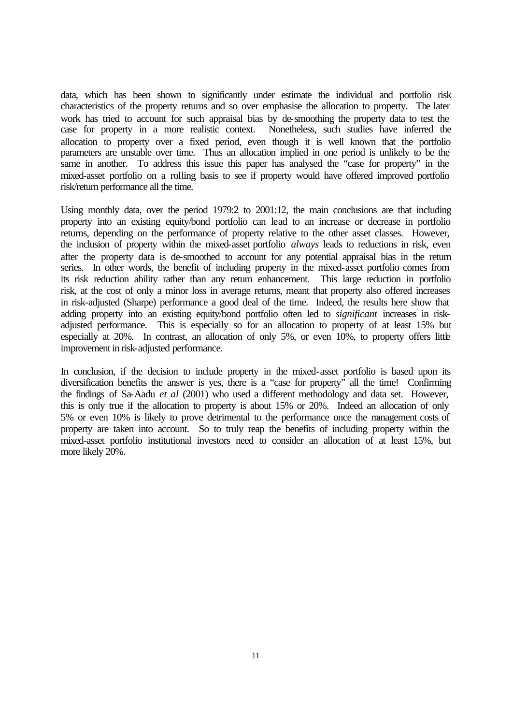data, which has been shown to significantly under estimate the individual and portfolio risk characteristics of the property returns and so over emphasise the allocation to property. The later work has tried to account for such appraisal bias by de-smoothing the property data to test the case for property in a more realistic context. Nonetheless, such studies have inferred the allocation to property over a fixed period, even though it is well known that the portfolio parameters are unstable over time. Thus an allocation implied in one period is unlikely to be the same in another. To address this issue this paper has analysed the "case for property" in the mixed-asset portfolio on a rolling basis to see if property would have offered improved portfolio risk/return performance all the time.

Using monthly data, over the period 1979:2 to 2001:12, the main conclusions are that including property into an existing equity/bond portfolio can lead to an increase or decrease in portfolio returns, depending on the performance of property relative to the other asset classes. However, the inclusion of property within the mixed-asset portfolio *always* leads to reductions in risk, even after the property data is de-smoothed to account for any potential appraisal bias in the return series. In other words, the benefit of including property in the mixed-asset portfolio comes from its risk reduction ability rather than any return enhancement. This large reduction in portfolio risk, at the cost of only a minor loss in average returns, meant that property also offered increases in risk-adjusted (Sharpe) performance a good deal of the time. Indeed, the results here show that adding property into an existing equity/bond portfolio often led to *significant* increases in riskadjusted performance. This is especially so for an allocation to property of at least 15% but especially at 20%. In contrast, an allocation of only 5%, or even 10%, to property offers little improvement in risk-adjusted performance.

In conclusion, if the decision to include property in the mixed-asset portfolio is based upon its diversification benefits the answer is yes, there is a "case for property" all the time! Confirming the findings of Sa-Aadu *et al* (2001) who used a different methodology and data set. However, this is only true if the allocation to property is about 15% or 20%. Indeed an allocation of only 5% or even 10% is likely to prove detrimental to the performance once the management costs of property are taken into account. So to truly reap the benefits of including property within the mixed-asset portfolio institutional investors need to consider an allocation of at least 15%, but more likely 20%.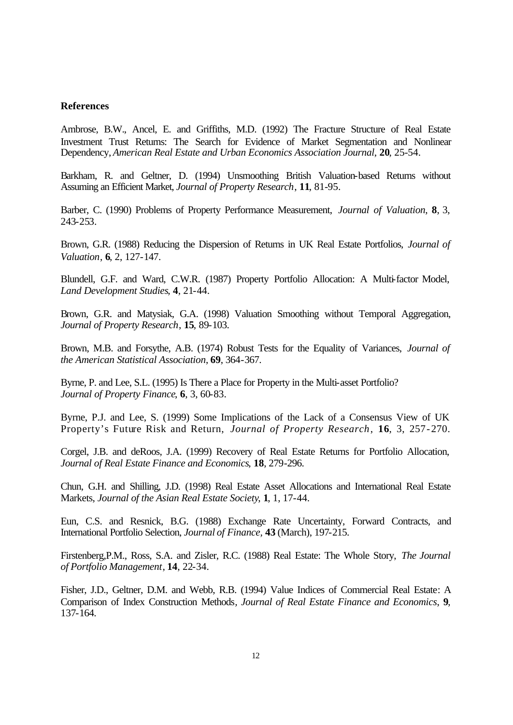#### **References**

Ambrose, B.W., Ancel, E. and Griffiths, M.D. (1992) The Fracture Structure of Real Estate Investment Trust Returns: The Search for Evidence of Market Segmentation and Nonlinear Dependency, *American Real Estate and Urban Economics Association Journal*, **20**, 25-54.

Barkham, R. and Geltner, D. (1994) Unsmoothing British Valuation-based Returns without Assuming an Efficient Market, *Journal of Property Research*, **11**, 81-95.

Barber, C. (1990) Problems of Property Performance Measurement, *Journal of Valuation*, **8**, 3, 243-253.

Brown, G.R. (1988) Reducing the Dispersion of Returns in UK Real Estate Portfolios, *Journal of Valuation*, **6**, 2, 127-147.

Blundell, G.F. and Ward, C.W.R. (1987) Property Portfolio Allocation: A Multi-factor Model, *Land Development Studies*, **4**, 21-44.

Brown, G.R. and Matysiak, G.A. (1998) Valuation Smoothing without Temporal Aggregation, *Journal of Property Research*, **15**, 89-103.

Brown, M.B. and Forsythe, A.B. (1974) Robust Tests for the Equality of Variances, *Journal of the American Statistical Association*, **69**, 364-367.

Byrne, P. and Lee, S.L. (1995) Is There a Place for Property in the Multi-asset Portfolio? *Journal of Property Finance*, **6**, 3, 60-83.

Byrne, P.J. and Lee, S. (1999) Some Implications of the Lack of a Consensus View of UK Property's Future Risk and Return, *Journal of Property Research*, **16**, 3, 257-270.

Corgel, J.B. and deRoos, J.A. (1999) Recovery of Real Estate Returns for Portfolio Allocation, *Journal of Real Estate Finance and Economics*, **18**, 279-296.

Chun, G.H. and Shilling, J.D. (1998) Real Estate Asset Allocations and International Real Estate Markets, *Journal of the Asian Real Estate Society*, **1**, 1, 17-44.

Eun, C.S. and Resnick, B.G. (1988) Exchange Rate Uncertainty, Forward Contracts, and International Portfolio Selection, *Journal of Finance,* **43** (March), 197-215.

Firstenberg,P.M., Ross, S.A. and Zisler, R.C. (1988) Real Estate: The Whole Story, *The Journal of Portfolio Management*, **14**, 22-34.

Fisher, J.D., Geltner, D.M. and Webb, R.B. (1994) Value Indices of Commercial Real Estate: A Comparison of Index Construction Methods*, Journal of Real Estate Finance and Economics*, **9**, 137-164.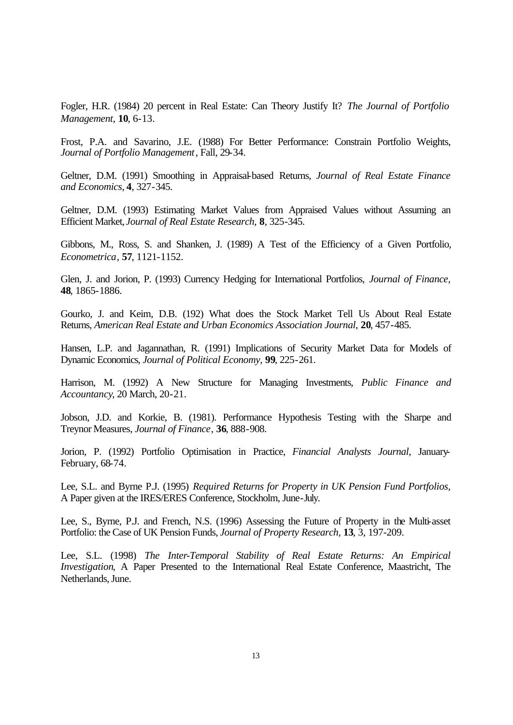Fogler, H.R. (1984) 20 percent in Real Estate: Can Theory Justify It? *The Journal of Portfolio Management*, **10**, 6-13.

Frost, P.A. and Savarino, J.E. (1988) For Better Performance: Constrain Portfolio Weights, *Journal of Portfolio Management*, Fall, 29-34.

Geltner, D.M. (1991) Smoothing in Appraisal-based Returns, *Journal of Real Estate Finance and Economics*, **4**, 327-345.

Geltner, D.M. (1993) Estimating Market Values from Appraised Values without Assuming an Efficient Market, *Journal of Real Estate Research*, **8**, 325-345.

Gibbons, M., Ross, S. and Shanken, J. (1989) A Test of the Efficiency of a Given Portfolio, *Econometrica*, **57**, 1121-1152.

Glen, J. and Jorion, P. (1993) Currency Hedging for International Portfolios, *Journal of Finance,* **48**, 1865-1886.

Gourko, J. and Keim, D.B. (192) What does the Stock Market Tell Us About Real Estate Returns, *American Real Estate and Urban Economics Association Journal*, **20**, 457-485.

Hansen, L.P. and Jagannathan, R. (1991) Implications of Security Market Data for Models of Dynamic Economics, *Journal of Political Economy*, **99**, 225-261.

Harrison, M. (1992) A New Structure for Managing Investments, *Public Finance and Accountancy*, 20 March, 20-21.

Jobson, J.D. and Korkie, B. (1981). Performance Hypothesis Testing with the Sharpe and Treynor Measures, *Journal of Finance*, **36**, 888-908.

Jorion, P. (1992) Portfolio Optimisation in Practice, *Financial Analysts Journal,* January-February, 68-74.

Lee, S.L. and Byrne P.J. (1995) *Required Returns for Property in UK Pension Fund Portfolios,* A Paper given at the IRES/ERES Conference, Stockholm, June-July.

Lee, S., Byrne, P.J. and French, N.S. (1996) Assessing the Future of Property in the Multi-asset Portfolio: the Case of UK Pension Funds, *Journal of Property Research,* **13**, 3, 197-209.

Lee, S.L. (1998) *The Inter-Temporal Stability of Real Estate Returns: An Empirical Investigation*, A Paper Presented to the International Real Estate Conference, Maastricht, The Netherlands, June.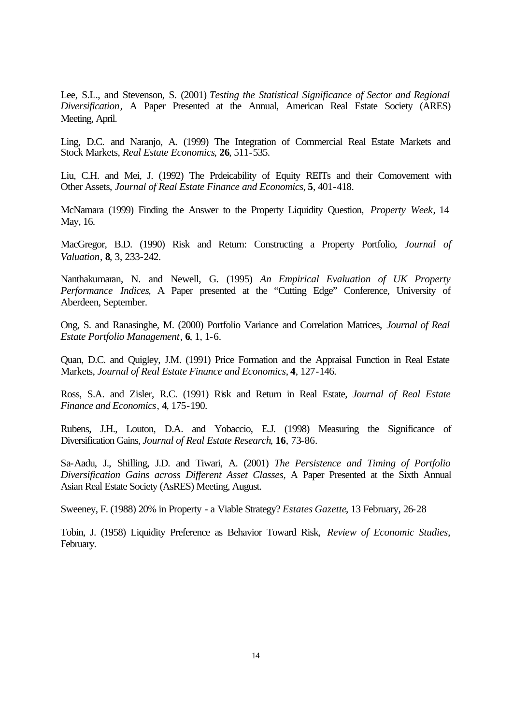Lee, S.L., and Stevenson, S. (2001) *Testing the Statistical Significance of Sector and Regional Diversification,* A Paper Presented at the Annual, American Real Estate Society (ARES) Meeting, April.

Ling, D.C. and Naranjo, A. (1999) The Integration of Commercial Real Estate Markets and Stock Markets, *Real Estate Economics*, **26**, 511-535.

Liu, C.H. and Mei, J. (1992) The Prdeicability of Equity REITs and their Comovement with Other Assets, *Journal of Real Estate Finance and Economics*, **5**, 401-418.

McNamara (1999) Finding the Answer to the Property Liquidity Question, *Property Week*, 14 May, 16.

MacGregor, B.D. (1990) Risk and Return: Constructing a Property Portfolio, *Journal of Valuation*, **8**, 3, 233-242.

Nanthakumaran, N. and Newell, G. (1995) *An Empirical Evaluation of UK Property Performance Indices*, A Paper presented at the "Cutting Edge" Conference, University of Aberdeen, September.

Ong, S. and Ranasinghe, M. (2000) Portfolio Variance and Correlation Matrices, *Journal of Real Estate Portfolio Management*, **6**, 1, 1-6.

Quan, D.C. and Quigley, J.M. (1991) Price Formation and the Appraisal Function in Real Estate Markets, *Journal of Real Estate Finance and Economics*, **4**, 127-146.

Ross, S.A. and Zisler, R.C. (1991) Risk and Return in Real Estate, *Journal of Real Estate Finance and Economics*, **4**, 175-190.

Rubens, J.H., Louton, D.A. and Yobaccio, E.J. (1998) Measuring the Significance of Diversification Gains, *Journal of Real Estate Research*, **16**, 73-86.

Sa-Aadu, J., Shilling, J.D. and Tiwari, A. (2001) *The Persistence and Timing of Portfolio Diversification Gains across Different Asset Classes*, A Paper Presented at the Sixth Annual Asian Real Estate Society (AsRES) Meeting, August.

Sweeney, F. (1988) 20% in Property - a Viable Strategy? *Estates Gazette*, 13 February, 26-28

Tobin, J. (1958) Liquidity Preference as Behavior Toward Risk, *Review of Economic Studies*, February.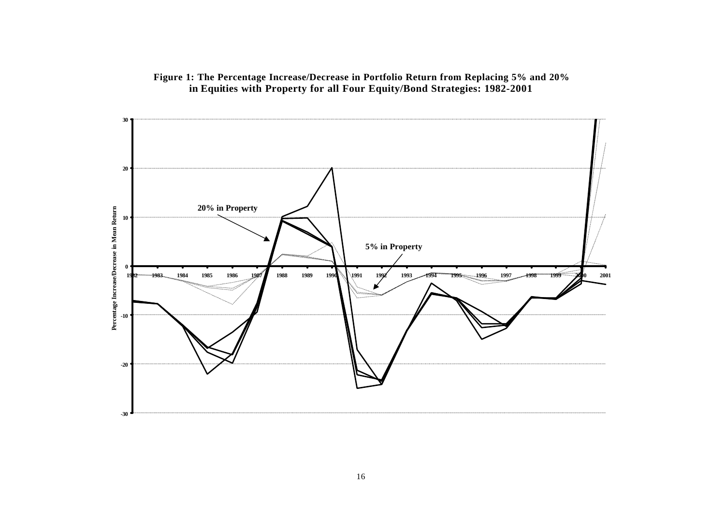

## **Figure 1: The Percentage Increase/Decrease in Portfolio Return from Replacing 5% and 20% in Equities with Property for all Four Equity/Bond Strategies: 1982-2001**